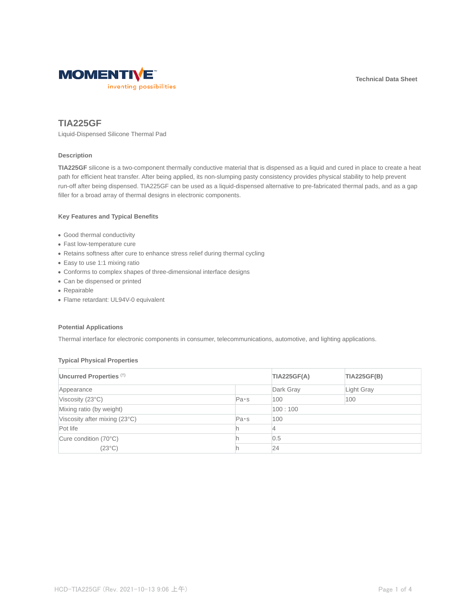**Technical Data Sheet**



# **TIA225GF**

Liquid-Dispensed Silicone Thermal Pad

## **Description**

**TIA225GF** silicone is a two-component thermally conductive material that is dispensed as a liquid and cured in place to create a heat path for efficient heat transfer. After being applied, its non-slumping pasty consistency provides physical stability to help prevent run-off after being dispensed. TIA225GF can be used as a liquid-dispensed alternative to pre-fabricated thermal pads, and as a gap filler for a broad array of thermal designs in electronic components.

# **Key Features and Typical Benefits**

- Good thermal conductivity
- Fast low-temperature cure
- Retains softness after cure to enhance stress relief during thermal cycling
- Easy to use 1:1 mixing ratio
- Conforms to complex shapes of three-dimensional interface designs
- Can be dispensed or printed
- Repairable
- Flame retardant: UL94V-0 equivalent

## **Potential Applications**

Thermal interface for electronic components in consumer, telecommunications, automotive, and lighting applications.

### **Typical Physical Properties**

| Uncurred Properties (†)       |      | <b>TIA225GF(A)</b> | <b>TIA225GF(B)</b> |
|-------------------------------|------|--------------------|--------------------|
| Appearance                    |      | Dark Gray          | Light Gray         |
| Viscosity (23°C)              | Pa·s | 100                | 100                |
| Mixing ratio (by weight)      |      | 100:100            |                    |
| Viscosity after mixing (23°C) | Pa·s | 100                |                    |
| Pot life                      |      |                    |                    |
| Cure condition (70°C)         |      | 0.5                |                    |
| $(23^{\circ}C)$               |      | 24                 |                    |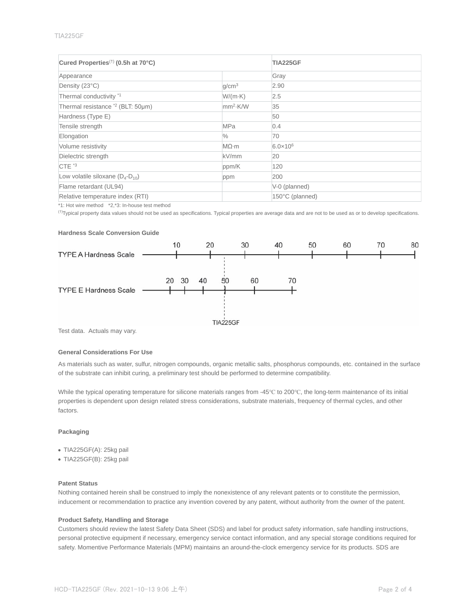### TIA225GF

| Cured Properties <sup>(†)</sup> (0.5h at 70°C) |                   | <b>TIA225GF</b>     |
|------------------------------------------------|-------------------|---------------------|
| Appearance                                     |                   | Gray                |
| Density (23°C)                                 | q/cm <sup>3</sup> | 2.90                |
| Thermal conductivity <sup>*1</sup>             | $W/(m-K)$         | 2.5                 |
| Thermal resistance <sup>*2</sup> (BLT: 50µm)   | $mm2$ -K/W        | 35                  |
| Hardness (Type E)                              |                   | 50                  |
| Tensile strength                               | <b>MPa</b>        | 0.4                 |
| Elongation                                     | $\frac{0}{0}$     | 70                  |
| Volume resistivity                             | $M\Omega$ ·m      | $6.0 \times 10^{6}$ |
| Dielectric strength                            | kV/mm             | 20                  |
| CTE <sup>*3</sup>                              | ppm/K             | 120                 |
| Low volatile siloxane $(D_4-D_{10})$           | ppm               | 200                 |
| Flame retardant (UL94)                         |                   | V-0 (planned)       |
| Relative temperature index (RTI)               |                   | 150°C (planned)     |

\*1: Hot wire method \*2,\*3: In-house test method

(†)Typical property data values should not be used as specifications. Typical properties are average data and are not to be used as or to develop specifications.

## **Hardness Scale Conversion Guide**



Test data. Actuals may vary.

#### **General Considerations For Use**

As materials such as water, sulfur, nitrogen compounds, organic metallic salts, phosphorus compounds, etc. contained in the surface of the substrate can inhibit curing, a preliminary test should be performed to determine compatibility.

While the typical operating temperature for silicone materials ranges from -45℃ to 200℃, the long-term maintenance of its initial properties is dependent upon design related stress considerations, substrate materials, frequency of thermal cycles, and other factors.

## **Packaging**

- TIA225GF(A): 25kg pail
- TIA225GF(B): 25kg pail

### **Patent Status**

Nothing contained herein shall be construed to imply the nonexistence of any relevant patents or to constitute the permission, inducement or recommendation to practice any invention covered by any patent, without authority from the owner of the patent.

## **Product Safety, Handling and Storage**

Customers should review the latest Safety Data Sheet (SDS) and label for product safety information, safe handling instructions, personal protective equipment if necessary, emergency service contact information, and any special storage conditions required for safety. Momentive Performance Materials (MPM) maintains an around-the-clock emergency service for its products. SDS are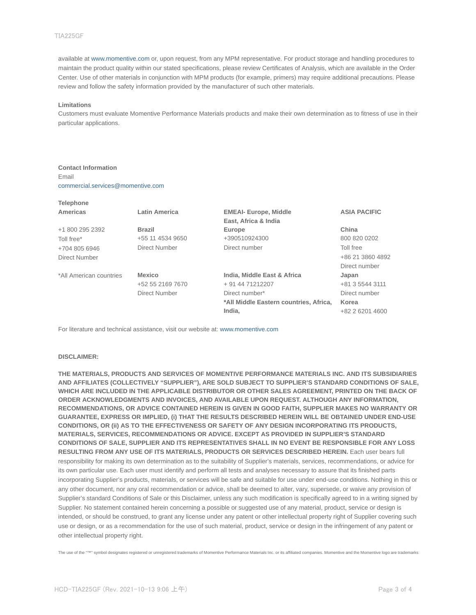#### TIA225GF

available at www.momentive.com or, upon request, from any MPM representative. For product storage and handling procedures to maintain the product quality within our stated specifications, please review Certificates of Analysis, which are available in the Order Center. Use of other materials in conjunction with MPM products (for example, primers) may require additional precautions. Please review and follow the safety information provided by the manufacturer of such other materials.

#### **Limitations**

**Telephone**

Customers must evaluate Momentive Performance Materials products and make their own determination as to fitness of use in their particular applications.

# **Contact Information** Email

commercial.services@momentive.com

| 1717 <b>11711</b>       |                      |                                        |                     |
|-------------------------|----------------------|----------------------------------------|---------------------|
| Americas                | <b>Latin America</b> | <b>EMEAI- Europe, Middle</b>           | <b>ASIA PACIFIC</b> |
|                         |                      | East, Africa & India                   |                     |
| +1 800 295 2392         | <b>Brazil</b>        | Europe                                 | China               |
| Toll free*              | +55 11 4534 9650     | +390510924300                          | 800 820 0202        |
| +704 805 6946           | Direct Number        | Direct number                          | Toll free           |
| Direct Number           |                      |                                        | +86 21 3860 4892    |
|                         |                      |                                        | Direct number       |
| *All American countries | <b>Mexico</b>        | India, Middle East & Africa            | Japan               |
|                         | +52 55 2169 7670     | + 91 44 71212207                       | +81 3 5544 3111     |
|                         | Direct Number        | Direct number*                         | Direct number       |
|                         |                      | *All Middle Eastern countries, Africa, | Korea               |
|                         |                      | India.                                 | +82 2 6201 4600     |

For literature and technical assistance, visit our website at: www.momentive.com

#### **DISCLAIMER:**

**THE MATERIALS, PRODUCTS AND SERVICES OF MOMENTIVE PERFORMANCE MATERIALS INC. AND ITS SUBSIDIARIES AND AFFILIATES (COLLECTIVELY "SUPPLIER"), ARE SOLD SUBJECT TO SUPPLIER'S STANDARD CONDITIONS OF SALE, WHICH ARE INCLUDED IN THE APPLICABLE DISTRIBUTOR OR OTHER SALES AGREEMENT, PRINTED ON THE BACK OF ORDER ACKNOWLEDGMENTS AND INVOICES, AND AVAILABLE UPON REQUEST. ALTHOUGH ANY INFORMATION, RECOMMENDATIONS, OR ADVICE CONTAINED HEREIN IS GIVEN IN GOOD FAITH, SUPPLIER MAKES NO WARRANTY OR GUARANTEE, EXPRESS OR IMPLIED, (i) THAT THE RESULTS DESCRIBED HEREIN WILL BE OBTAINED UNDER END-USE CONDITIONS, OR (ii) AS TO THE EFFECTIVENESS OR SAFETY OF ANY DESIGN INCORPORATING ITS PRODUCTS, MATERIALS, SERVICES, RECOMMENDATIONS OR ADVICE. EXCEPT AS PROVIDED IN SUPPLIER'S STANDARD CONDITIONS OF SALE, SUPPLIER AND ITS REPRESENTATIVES SHALL IN NO EVENT BE RESPONSIBLE FOR ANY LOSS RESULTING FROM ANY USE OF ITS MATERIALS, PRODUCTS OR SERVICES DESCRIBED HEREIN.** Each user bears full responsibility for making its own determination as to the suitability of Supplier's materials, services, recommendations, or advice for its own particular use. Each user must identify and perform all tests and analyses necessary to assure that its finished parts incorporating Supplier's products, materials, or services will be safe and suitable for use under end-use conditions. Nothing in this or any other document, nor any oral recommendation or advice, shall be deemed to alter, vary, supersede, or waive any provision of Supplier's standard Conditions of Sale or this Disclaimer, unless any such modification is specifically agreed to in a writing signed by Supplier. No statement contained herein concerning a possible or suggested use of any material, product, service or design is intended, or should be construed, to grant any license under any patent or other intellectual property right of Supplier covering such use or design, or as a recommendation for the use of such material, product, service or design in the infringement of any patent or other intellectual property right.

The use of the "™" symbol designates registered or unregistered trademarks of Momentive Performance Materials Inc. or its affiliated companies. Momentive and the Momentive logo are trademarks